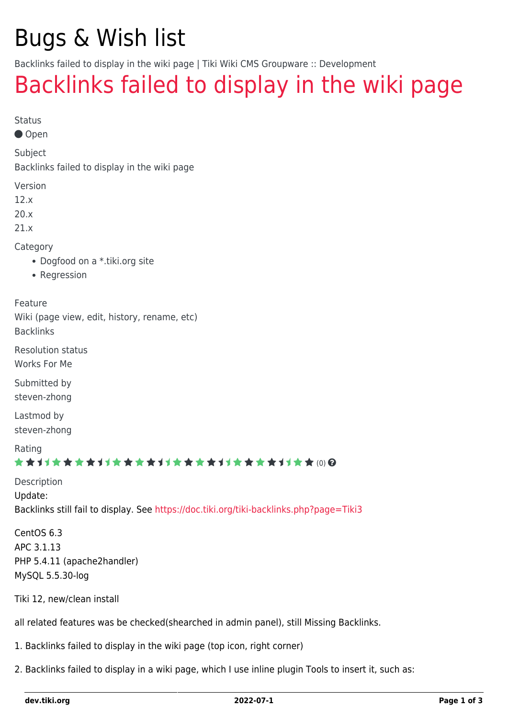# Bugs & Wish list

Backlinks failed to display in the wiki page | Tiki Wiki CMS Groupware :: Development

## [Backlinks failed to display in the wiki page](https://dev.tiki.org/item5130-Backlinks-failed-to-display-in-the-wiki-page)

Status

Open

Subject

Backlinks failed to display in the wiki page

Version

12.x

20.x

21.x

Category

- Dogfood on a \*.tiki.org site
- Regression

Feature

Wiki (page view, edit, history, rename, etc) Backlinks

Resolution status

Works For Me

Submitted by steven-zhong

Lastmod by steven-zhong

Rating

#### \*\*\*\*\*\*\*\*\*\*\*\*\*\*\*\*\*\*\*\*\*\*\*\*\*\*\*\*\*\*

Description Update: Backlinks still fail to display. See <https://doc.tiki.org/tiki-backlinks.php?page=Tiki3>

CentOS 6.3 APC 3.1.13 PHP 5.4.11 (apache2handler) MySQL 5.5.30-log

Tiki 12, new/clean install

all related features was be checked(shearched in admin panel), still Missing Backlinks.

1. Backlinks failed to display in the wiki page (top icon, right corner)

2. Backlinks failed to display in a wiki page, which I use inline plugin Tools to insert it, such as: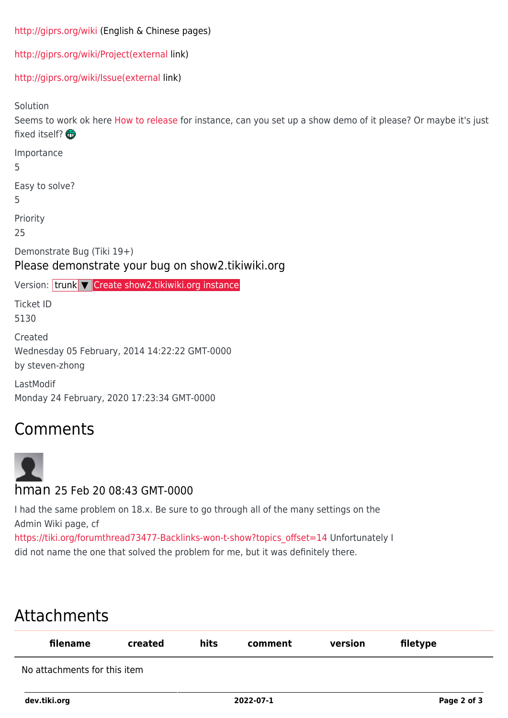```
http://giprs.org/wiki (English & Chinese pages)
```
[http://giprs.org/wiki/Project\(external](http://giprs.org/wiki/Project(external) link)

[http://giprs.org/wiki/Issue\(external](http://giprs.org/wiki/Issue(external) link)

Solution

Seems to work ok here [How to release](https://dev.tiki.org/How-to-release) for instance, can you set up a show demo of it please? Or maybe it's just fixed itself?

Importance

5

Easy to solve?

5

Priority

25

Demonstrate Bug (Tiki 19+)

Please demonstrate your bug on show2.tikiwiki.org

Version: trunk ▼ [Create show2.tikiwiki.org instance](#page--1-0)

Ticket ID 5130

Created Wednesday 05 February, 2014 14:22:22 GMT-0000 by steven-zhong

LastModif Monday 24 February, 2020 17:23:34 GMT-0000

### Comments



I had the same problem on 18.x. Be sure to go through all of the many settings on the Admin Wiki page, cf

[https://tiki.org/forumthread73477-Backlinks-won-t-show?topics\\_offset=14](https://tiki.org/forumthread73477-Backlinks-won-t-show?topics_offset=14) Unfortunately I did not name the one that solved the problem for me, but it was definitely there.

## Attachments

| filename                     | created | hits | comment | version | filetype |  |
|------------------------------|---------|------|---------|---------|----------|--|
| No attachments for this item |         |      |         |         |          |  |